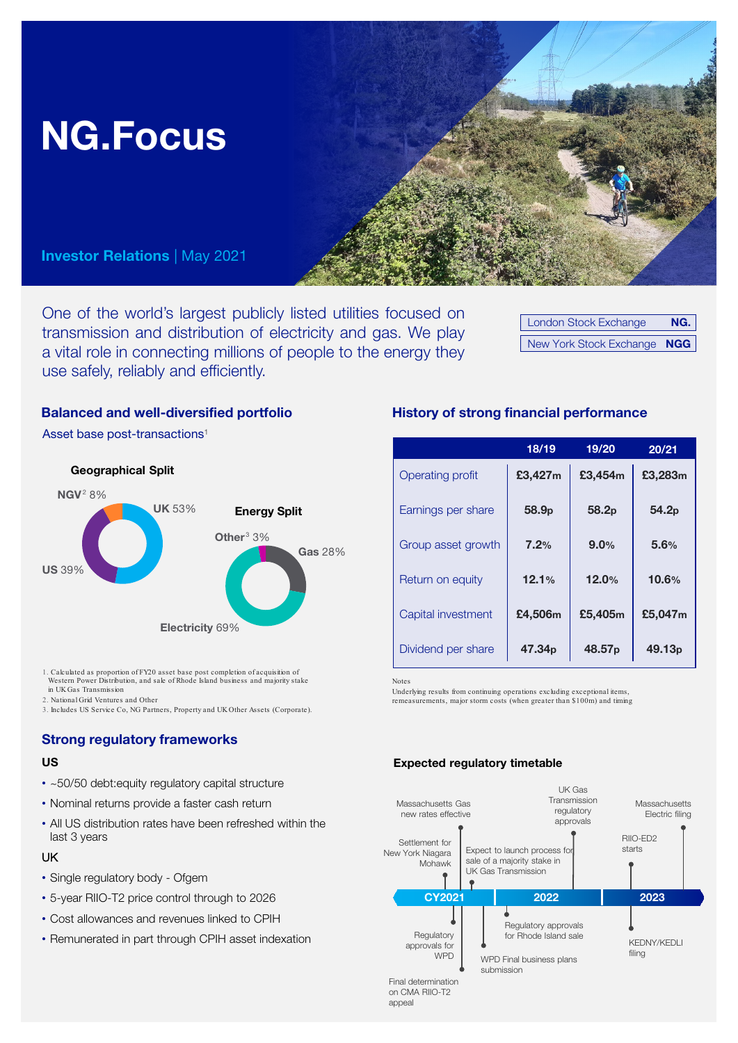

One of the world's largest publicly listed utilities focused on transmission and distribution of electricity and gas. We play a vital role in connecting millions of people to the energy they use safely, reliably and efficiently.

London Stock Exchange NG. New York Stock Exchange NGG

Asset base post-transactions1



1. Calculated as proportion of FY20 asset base post completion of acquisition of Western Power Distribution, and sale of Rhode Island business and majority stake in UK Gas Transmission

- 2. National Grid Ventures and Other
- 3. Includes US Service Co, NG Partners, Property and UK Other Assets (Corporate).

#### Strong regulatory frameworks

- ~50/50 debt:equity regulatory capital structure
- Nominal returns provide a faster cash return
- All US distribution rates have been refreshed within the last 3 years

#### UK

- Single regulatory body Ofgem
- 5-year RIIO-T2 price control through to 2026
- Cost allowances and revenues linked to CPIH
- Remunerated in part through CPIH asset indexation

### Balanced and well-diversified portfolio History of strong financial performance

|                         | 18/19              | 19/20              | 20/21              |
|-------------------------|--------------------|--------------------|--------------------|
| <b>Operating profit</b> | £3,427m            | £3,454m            | £3,283m            |
| Earnings per share      | 58.9p              | 58.2p              | 54.2 <sub>p</sub>  |
| Group asset growth      | 7.2%               | 9.0%               | 5.6%               |
| Return on equity        | 12.1%              | 12.0%              | 10.6%              |
| Capital investment      | £4,506m            | £5,405m            | £5,047m            |
| Dividend per share      | 47.34 <sub>p</sub> | 48.57 <sub>p</sub> | 49.13 <sub>p</sub> |

Notes

Underlying results from continuing operations excluding exceptional items, remeasurements, major storm costs (when greater than \$100m) and timing

# US **Expected regulatory timetable**



Final determination on CMA RIIO-T2 appeal